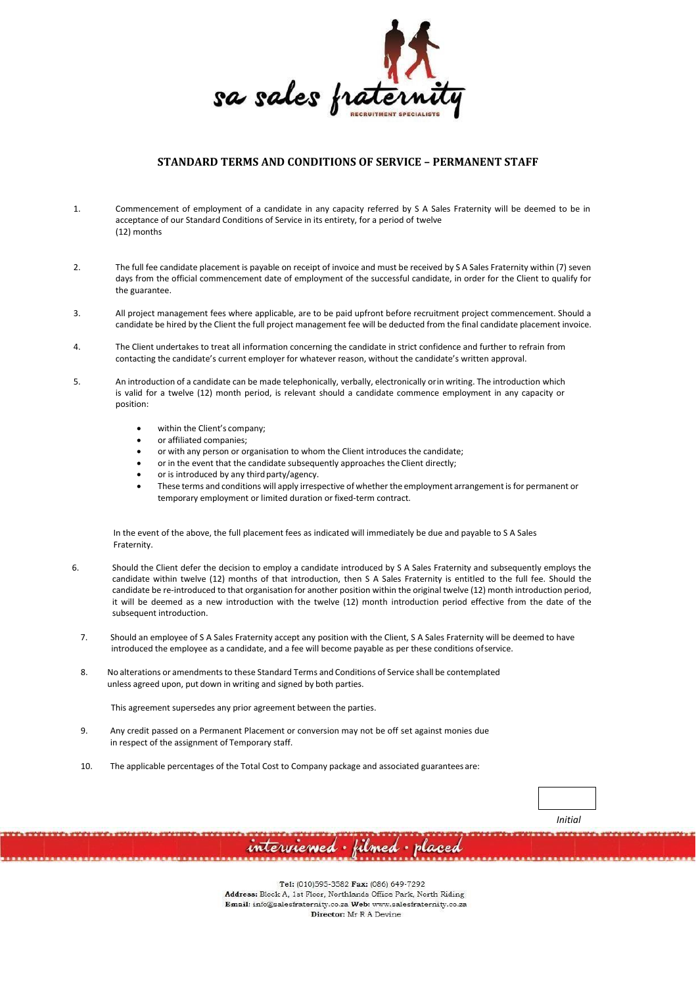

# **STANDARD TERMS AND CONDITIONS OF SERVICE – PERMANENT STAFF**

- 1. Commencement of employment of a candidate in any capacity referred by S A Sales Fraternity will be deemed to be in acceptance of our Standard Conditions of Service in its entirety, for a period of twelve (12) months
- 2. The full fee candidate placement is payable on receipt of invoice and must be received by S A Sales Fraternity within (7) seven days from the official commencement date of employment of the successful candidate, in order for the Client to qualify for the guarantee.
- 3. All project management fees where applicable, are to be paid upfront before recruitment project commencement. Should a candidate be hired by the Client the full project management fee will be deducted from the final candidate placement invoice.
- 4. The Client undertakes to treat all information concerning the candidate in strict confidence and further to refrain from contacting the candidate's current employer for whatever reason, without the candidate's written approval.
- 5. An introduction of a candidate can be made telephonically, verbally, electronically orin writing. The introduction which is valid for a twelve (12) month period, is relevant should a candidate commence employment in any capacity or position:
	- within the Client's company;
	- or affiliated companies;
	- or with any person or organisation to whom the Client introduces the candidate;
	- or in the event that the candidate subsequently approaches the Client directly;
	- or is introduced by any third party/agency.
	- These terms and conditions will apply irrespective of whether the employment arrangementis for permanent or temporary employment or limited duration or fixed-term contract.

In the event of the above, the full placement fees as indicated will immediately be due and payable to S A Sales Fraternity.

- 6. Should the Client defer the decision to employ a candidate introduced by S A Sales Fraternity and subsequently employs the candidate within twelve (12) months of that introduction, then S A Sales Fraternity is entitled to the full fee. Should the candidate be re-introduced to that organisation for another position within the original twelve (12) month introduction period, it will be deemed as a new introduction with the twelve (12) month introduction period effective from the date of the subsequent introduction.
	- 7. Should an employee of S A Sales Fraternity accept any position with the Client, S A Sales Fraternity will be deemed to have introduced the employee as a candidate, and a fee will become payable as per these conditions ofservice.
	- 8. No alterations or amendments to these Standard Terms and Conditions of Service shall be contemplated unless agreed upon, put down in writing and signed by both parties.

This agreement supersedes any prior agreement between the parties.

- 9. Any credit passed on a Permanent Placement or conversion may not be off set against monies due in respect of the assignment of Temporary staff.
- 10. The applicable percentages of the Total Cost to Company package and associated guarantees are:



Tel: (010)595-3582 Fax: (086) 649-7292 Address: Block A, 1st Floor, Northlands Office Park, North Riding Email: info@salesfraternity.co.za Web: www.salesfraternity.co.za Director: Mr R A Devine

interviewed · filmed · placed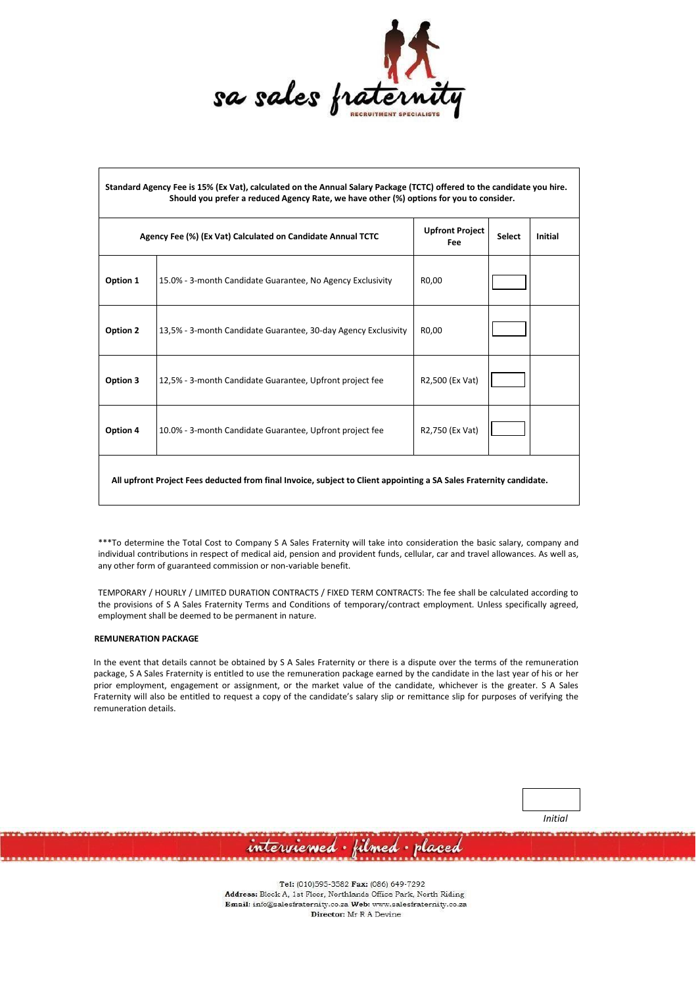

| Standard Agency Fee is 15% (Ex Vat), calculated on the Annual Salary Package (TCTC) offered to the candidate you hire.<br>Should you prefer a reduced Agency Rate, we have other (%) options for you to consider. |                                                                |                                      |               |         |  |
|-------------------------------------------------------------------------------------------------------------------------------------------------------------------------------------------------------------------|----------------------------------------------------------------|--------------------------------------|---------------|---------|--|
| Agency Fee (%) (Ex Vat) Calculated on Candidate Annual TCTC                                                                                                                                                       |                                                                | <b>Upfront Project</b><br><b>Fee</b> | <b>Select</b> | Initial |  |
| Option 1                                                                                                                                                                                                          | 15.0% - 3-month Candidate Guarantee, No Agency Exclusivity     | R0,00                                |               |         |  |
| Option 2                                                                                                                                                                                                          | 13,5% - 3-month Candidate Guarantee, 30-day Agency Exclusivity | R <sub>0.00</sub>                    |               |         |  |
| Option 3                                                                                                                                                                                                          | 12,5% - 3-month Candidate Guarantee, Upfront project fee       | R2,500 (Ex Vat)                      |               |         |  |
| Option 4                                                                                                                                                                                                          | 10.0% - 3-month Candidate Guarantee, Upfront project fee       | R2,750 (Ex Vat)                      |               |         |  |
| All upfront Project Fees deducted from final Invoice, subject to Client appointing a SA Sales Fraternity candidate.                                                                                               |                                                                |                                      |               |         |  |

\*\*\*To determine the Total Cost to Company S A Sales Fraternity will take into consideration the basic salary, company and individual contributions in respect of medical aid, pension and provident funds, cellular, car and travel allowances. As well as, any other form of guaranteed commission or non-variable benefit.

TEMPORARY / HOURLY / LIMITED DURATION CONTRACTS / FIXED TERM CONTRACTS: The fee shall be calculated according to the provisions of S A Sales Fraternity Terms and Conditions of temporary/contract employment. Unless specifically agreed, employment shall be deemed to be permanent in nature.

## **REMUNERATION PACKAGE**

In the event that details cannot be obtained by S A Sales Fraternity or there is a dispute over the terms of the remuneration package, S A Sales Fraternity is entitled to use the remuneration package earned by the candidate in the last year of his or her prior employment, engagement or assignment, or the market value of the candidate, whichever is the greater. S A Sales Fraternity will also be entitled to request a copy of the candidate's salary slip or remittance slip for purposes of verifying the remuneration details.

*Initial*

Tel: (010)595-3582 Fax: (086) 649-7292 Address: Block A, 1st Floor, Northlands Office Park, North Riding Email: info@salesfraternity.co.za Web: www.salesfraternity.co.za Director: Mr R A Devine

interviewed · filmed · placed